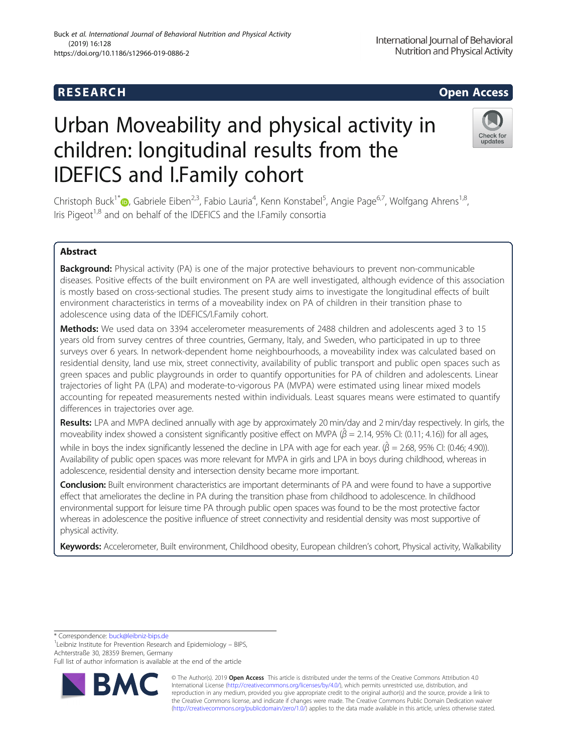# **RESEARCH CHILD CONTROL** CONTROL CONTROL CONTROL CONTROL CONTROL CONTROL CONTROL CONTROL CONTROL CONTROL CONTROL CONTROL CONTROL CONTROL CONTROL CONTROL CONTROL CONTROL CONTROL CONTROL CONTROL CONTROL CONTROL CONTROL CONTR

Buck et al. International Journal of Behavioral Nutrition and Physical Activity

# Urban Moveability and physical activity in children: longitudinal results from the IDEFICS and I.Family cohort

Christoph Buck<sup>1\*</sup>®, Gabriele Eiben<sup>2,3</sup>, Fabio Lauria<sup>4</sup>, Kenn Konstabel<sup>5</sup>, Angie Page<sup>6,7</sup>, Wolfgang Ahrens<sup>1,8</sup>, Iris Pigeot<sup>1,8</sup> and on behalf of the IDEFICS and the I.Family consortia

# Abstract

(2019) 16:128

https://doi.org/10.1186/s12966-019-0886-2

Background: Physical activity (PA) is one of the major protective behaviours to prevent non-communicable diseases. Positive effects of the built environment on PA are well investigated, although evidence of this association is mostly based on cross-sectional studies. The present study aims to investigate the longitudinal effects of built environment characteristics in terms of a moveability index on PA of children in their transition phase to adolescence using data of the IDEFICS/I.Family cohort.

Methods: We used data on 3394 accelerometer measurements of 2488 children and adolescents aged 3 to 15 years old from survey centres of three countries, Germany, Italy, and Sweden, who participated in up to three surveys over 6 years. In network-dependent home neighbourhoods, a moveability index was calculated based on residential density, land use mix, street connectivity, availability of public transport and public open spaces such as green spaces and public playgrounds in order to quantify opportunities for PA of children and adolescents. Linear trajectories of light PA (LPA) and moderate-to-vigorous PA (MVPA) were estimated using linear mixed models accounting for repeated measurements nested within individuals. Least squares means were estimated to quantify differences in trajectories over age.

Results: LPA and MVPA declined annually with age by approximately 20 min/day and 2 min/day respectively. In girls, the moveability index showed a consistent significantly positive effect on MVPA ( $\hat{\beta}$  = 2.14, 95% CI: (0.11; 4.16)) for all ages, while in boys the index significantly lessened the decline in LPA with age for each year. ( $\hat\beta$  = 2.68, 95% Cl: (0.46; 4.90)). Availability of public open spaces was more relevant for MVPA in girls and LPA in boys during childhood, whereas in adolescence, residential density and intersection density became more important.

**Conclusion:** Built environment characteristics are important determinants of PA and were found to have a supportive effect that ameliorates the decline in PA during the transition phase from childhood to adolescence. In childhood environmental support for leisure time PA through public open spaces was found to be the most protective factor whereas in adolescence the positive influence of street connectivity and residential density was most supportive of physical activity.

Keywords: Accelerometer, Built environment, Childhood obesity, European children's cohort, Physical activity, Walkability

\* Correspondence: [buck@leibniz-bips.de](mailto:buck@leibniz-bips.de) <sup>1</sup>

<sup>1</sup> Leibniz Institute for Prevention Research and Epidemiology - BIPS, Achterstraße 30, 28359 Bremen, Germany

Full list of author information is available at the end of the article

© The Author(s). 2019 **Open Access** This article is distributed under the terms of the Creative Commons Attribution 4.0 International License [\(http://creativecommons.org/licenses/by/4.0/](http://creativecommons.org/licenses/by/4.0/)), which permits unrestricted use, distribution, and reproduction in any medium, provided you give appropriate credit to the original author(s) and the source, provide a link to the Creative Commons license, and indicate if changes were made. The Creative Commons Public Domain Dedication waiver [\(http://creativecommons.org/publicdomain/zero/1.0/](http://creativecommons.org/publicdomain/zero/1.0/)) applies to the data made available in this article, unless otherwise stated.



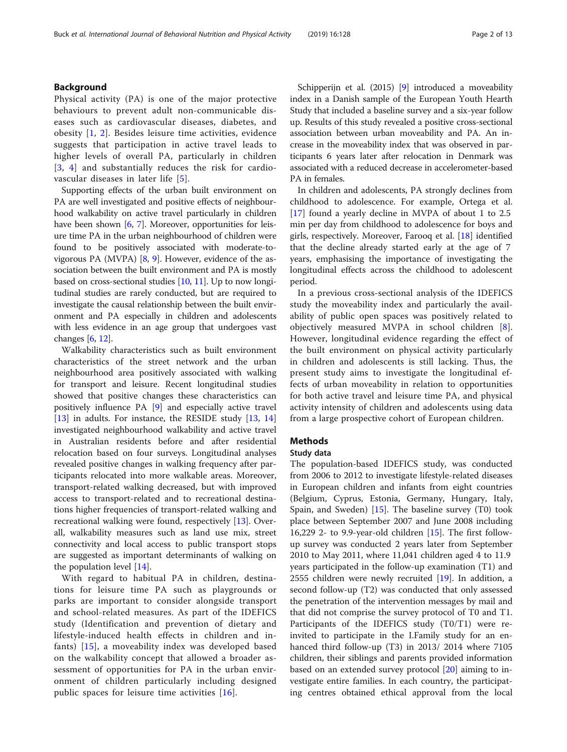# Background

Physical activity (PA) is one of the major protective behaviours to prevent adult non-communicable diseases such as cardiovascular diseases, diabetes, and obesity [[1,](#page-12-0) [2](#page-12-0)]. Besides leisure time activities, evidence suggests that participation in active travel leads to higher levels of overall PA, particularly in children [[3](#page-12-0), [4\]](#page-12-0) and substantially reduces the risk for cardiovascular diseases in later life [[5\]](#page-12-0).

Supporting effects of the urban built environment on PA are well investigated and positive effects of neighbourhood walkability on active travel particularly in children have been shown [[6](#page-12-0), [7\]](#page-12-0). Moreover, opportunities for leisure time PA in the urban neighbourhood of children were found to be positively associated with moderate-tovigorous PA (MVPA) [[8,](#page-12-0) [9\]](#page-12-0). However, evidence of the association between the built environment and PA is mostly based on cross-sectional studies [[10](#page-12-0), [11\]](#page-12-0). Up to now longitudinal studies are rarely conducted, but are required to investigate the causal relationship between the built environment and PA especially in children and adolescents with less evidence in an age group that undergoes vast changes [\[6](#page-12-0), [12](#page-12-0)].

Walkability characteristics such as built environment characteristics of the street network and the urban neighbourhood area positively associated with walking for transport and leisure. Recent longitudinal studies showed that positive changes these characteristics can positively influence PA [[9\]](#page-12-0) and especially active travel [[13\]](#page-12-0) in adults. For instance, the RESIDE study [\[13](#page-12-0), [14](#page-12-0)] investigated neighbourhood walkability and active travel in Australian residents before and after residential relocation based on four surveys. Longitudinal analyses revealed positive changes in walking frequency after participants relocated into more walkable areas. Moreover, transport-related walking decreased, but with improved access to transport-related and to recreational destinations higher frequencies of transport-related walking and recreational walking were found, respectively [\[13](#page-12-0)]. Overall, walkability measures such as land use mix, street connectivity and local access to public transport stops are suggested as important determinants of walking on the population level [\[14\]](#page-12-0).

With regard to habitual PA in children, destinations for leisure time PA such as playgrounds or parks are important to consider alongside transport and school-related measures. As part of the IDEFICS study (Identification and prevention of dietary and lifestyle-induced health effects in children and infants) [[15\]](#page-12-0), a moveability index was developed based on the walkability concept that allowed a broader assessment of opportunities for PA in the urban environment of children particularly including designed public spaces for leisure time activities [[16\]](#page-12-0).

Schipperijn et al. (2015) [\[9\]](#page-12-0) introduced a moveability index in a Danish sample of the European Youth Hearth Study that included a baseline survey and a six-year follow up. Results of this study revealed a positive cross-sectional association between urban moveability and PA. An increase in the moveability index that was observed in participants 6 years later after relocation in Denmark was associated with a reduced decrease in accelerometer-based PA in females.

In children and adolescents, PA strongly declines from childhood to adolescence. For example, Ortega et al. [[17\]](#page-12-0) found a yearly decline in MVPA of about 1 to 2.5 min per day from childhood to adolescence for boys and girls, respectively. Moreover, Farooq et al. [[18\]](#page-12-0) identified that the decline already started early at the age of 7 years, emphasising the importance of investigating the longitudinal effects across the childhood to adolescent period.

In a previous cross-sectional analysis of the IDEFICS study the moveability index and particularly the availability of public open spaces was positively related to objectively measured MVPA in school children [\[8](#page-12-0)]. However, longitudinal evidence regarding the effect of the built environment on physical activity particularly in children and adolescents is still lacking. Thus, the present study aims to investigate the longitudinal effects of urban moveability in relation to opportunities for both active travel and leisure time PA, and physical activity intensity of children and adolescents using data from a large prospective cohort of European children.

# Methods

# Study data

The population-based IDEFICS study, was conducted from 2006 to 2012 to investigate lifestyle-related diseases in European children and infants from eight countries (Belgium, Cyprus, Estonia, Germany, Hungary, Italy, Spain, and Sweden) [[15](#page-12-0)]. The baseline survey (T0) took place between September 2007 and June 2008 including 16,229 2- to 9.9-year-old children [[15\]](#page-12-0). The first followup survey was conducted 2 years later from September 2010 to May 2011, where 11,041 children aged 4 to 11.9 years participated in the follow-up examination (T1) and 2555 children were newly recruited [[19\]](#page-12-0). In addition, a second follow-up (T2) was conducted that only assessed the penetration of the intervention messages by mail and that did not comprise the survey protocol of T0 and T1. Participants of the IDEFICS study (T0/T1) were reinvited to participate in the I.Family study for an enhanced third follow-up (T3) in 2013/ 2014 where 7105 children, their siblings and parents provided information based on an extended survey protocol [\[20\]](#page-12-0) aiming to investigate entire families. In each country, the participating centres obtained ethical approval from the local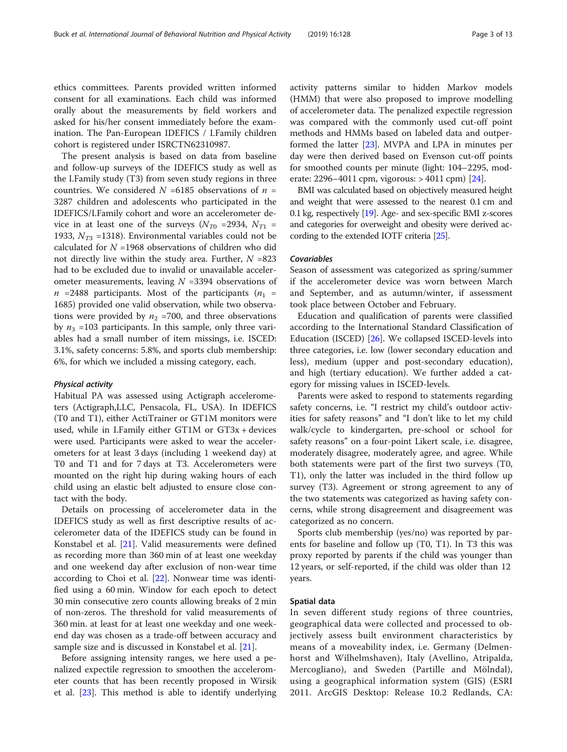ethics committees. Parents provided written informed consent for all examinations. Each child was informed orally about the measurements by field workers and asked for his/her consent immediately before the examination. The Pan-European IDEFICS / I.Family children cohort is registered under ISRCTN62310987.

The present analysis is based on data from baseline and follow-up surveys of the IDEFICS study as well as the I.Family study (T3) from seven study regions in three countries. We considered  $N = 6185$  observations of  $n =$ 3287 children and adolescents who participated in the IDEFICS/I.Family cohort and wore an accelerometer device in at least one of the surveys  $(N_{T0}$  =2934,  $N_{T1}$  = 1933,  $N_{T3}$  =1318). Environmental variables could not be calculated for  $N = 1968$  observations of children who did not directly live within the study area. Further,  $N = 823$ had to be excluded due to invalid or unavailable accelerometer measurements, leaving  $N = 3394$  observations of  $n = 2488$  participants. Most of the participants  $(n_1 =$ 1685) provided one valid observation, while two observations were provided by  $n_2$  =700, and three observations by  $n_3$  =103 participants. In this sample, only three variables had a small number of item missings, i.e. ISCED: 3.1%, safety concerns: 5.8%, and sports club membership: 6%, for which we included a missing category, each.

# Physical activity

Habitual PA was assessed using Actigraph accelerometers (Actigraph,LLC, Pensacola, FL, USA). In IDEFICS (T0 and T1), either ActiTrainer or GT1M monitors were used, while in I.Family either GT1M or GT3x + devices were used. Participants were asked to wear the accelerometers for at least 3 days (including 1 weekend day) at T0 and T1 and for 7 days at T3. Accelerometers were mounted on the right hip during waking hours of each child using an elastic belt adjusted to ensure close contact with the body.

Details on processing of accelerometer data in the IDEFICS study as well as first descriptive results of accelerometer data of the IDEFICS study can be found in Konstabel et al. [\[21](#page-12-0)]. Valid measurements were defined as recording more than 360 min of at least one weekday and one weekend day after exclusion of non-wear time according to Choi et al. [[22\]](#page-12-0). Nonwear time was identified using a 60 min. Window for each epoch to detect 30 min consecutive zero counts allowing breaks of 2 min of non-zeros. The threshold for valid measurements of 360 min. at least for at least one weekday and one weekend day was chosen as a trade-off between accuracy and sample size and is discussed in Konstabel et al. [[21\]](#page-12-0).

Before assigning intensity ranges, we here used a penalized expectile regression to smoothen the accelerometer counts that has been recently proposed in Wirsik et al. [\[23](#page-12-0)]. This method is able to identify underlying activity patterns similar to hidden Markov models (HMM) that were also proposed to improve modelling of accelerometer data. The penalized expectile regression was compared with the commonly used cut-off point methods and HMMs based on labeled data and outperformed the latter [[23\]](#page-12-0). MVPA and LPA in minutes per day were then derived based on Evenson cut-off points for smoothed counts per minute (light: 104–2295, moderate: 2296–4011 cpm, vigorous:  $> 4011$  cpm) [[24](#page-12-0)].

BMI was calculated based on objectively measured height and weight that were assessed to the nearest 0.1 cm and 0.1 kg, respectively [\[19](#page-12-0)]. Age- and sex-specific BMI z-scores and categories for overweight and obesity were derived according to the extended IOTF criteria [\[25\]](#page-12-0).

# Covariables

Season of assessment was categorized as spring/summer if the accelerometer device was worn between March and September, and as autumn/winter, if assessment took place between October and February.

Education and qualification of parents were classified according to the International Standard Classification of Education (ISCED) [\[26](#page-12-0)]. We collapsed ISCED-levels into three categories, i.e. low (lower secondary education and less), medium (upper and post-secondary education), and high (tertiary education). We further added a category for missing values in ISCED-levels.

Parents were asked to respond to statements regarding safety concerns, i.e. "I restrict my child's outdoor activities for safety reasons" and "I don't like to let my child walk/cycle to kindergarten, pre-school or school for safety reasons" on a four-point Likert scale, i.e. disagree, moderately disagree, moderately agree, and agree. While both statements were part of the first two surveys (T0, T1), only the latter was included in the third follow up survey (T3). Agreement or strong agreement to any of the two statements was categorized as having safety concerns, while strong disagreement and disagreement was categorized as no concern.

Sports club membership (yes/no) was reported by parents for baseline and follow up (T0, T1). In T3 this was proxy reported by parents if the child was younger than 12 years, or self-reported, if the child was older than 12 years.

# Spatial data

In seven different study regions of three countries, geographical data were collected and processed to objectively assess built environment characteristics by means of a moveability index, i.e. Germany (Delmenhorst and Wilhelmshaven), Italy (Avellino, Atripalda, Mercogliano), and Sweden (Partille and Mölndal), using a geographical information system (GIS) (ESRI 2011. ArcGIS Desktop: Release 10.2 Redlands, CA: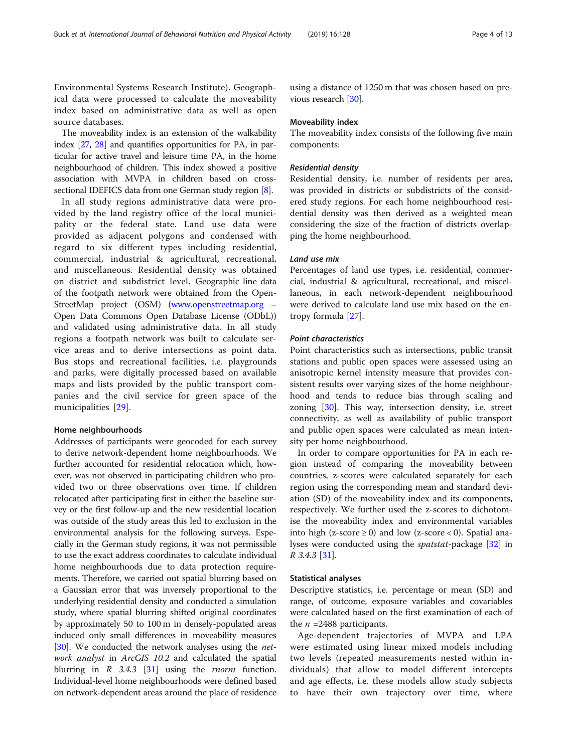Environmental Systems Research Institute). Geographical data were processed to calculate the moveability index based on administrative data as well as open source databases.

The moveability index is an extension of the walkability index [[27](#page-12-0), [28](#page-12-0)] and quantifies opportunities for PA, in particular for active travel and leisure time PA, in the home neighbourhood of children. This index showed a positive association with MVPA in children based on crosssectional IDEFICS data from one German study region [\[8](#page-12-0)].

In all study regions administrative data were provided by the land registry office of the local municipality or the federal state. Land use data were provided as adjacent polygons and condensed with regard to six different types including residential, commercial, industrial & agricultural, recreational, and miscellaneous. Residential density was obtained on district and subdistrict level. Geographic line data of the footpath network were obtained from the Open-StreetMap project (OSM) [\(www.openstreetmap.org](http://www.openstreetmap.org) – Open Data Commons Open Database License (ODbL)) and validated using administrative data. In all study regions a footpath network was built to calculate service areas and to derive intersections as point data. Bus stops and recreational facilities, i.e. playgrounds and parks, were digitally processed based on available maps and lists provided by the public transport companies and the civil service for green space of the municipalities [\[29](#page-12-0)].

# Home neighbourhoods

Addresses of participants were geocoded for each survey to derive network-dependent home neighbourhoods. We further accounted for residential relocation which, however, was not observed in participating children who provided two or three observations over time. If children relocated after participating first in either the baseline survey or the first follow-up and the new residential location was outside of the study areas this led to exclusion in the environmental analysis for the following surveys. Especially in the German study regions, it was not permissible to use the exact address coordinates to calculate individual home neighbourhoods due to data protection requirements. Therefore, we carried out spatial blurring based on a Gaussian error that was inversely proportional to the underlying residential density and conducted a simulation study, where spatial blurring shifted original coordinates by approximately 50 to 100 m in densely-populated areas induced only small differences in moveability measures [[30](#page-12-0)]. We conducted the network analyses using the network analyst in ArcGIS 10.2 and calculated the spatial blurring in  $R$  3.4.3 [[31](#page-12-0)] using the *rnorm* function. Individual-level home neighbourhoods were defined based on network-dependent areas around the place of residence

using a distance of 1250 m that was chosen based on previous research [\[30\]](#page-12-0).

## Moveability index

The moveability index consists of the following five main components:

# Residential density

Residential density, i.e. number of residents per area, was provided in districts or subdistricts of the considered study regions. For each home neighbourhood residential density was then derived as a weighted mean considering the size of the fraction of districts overlapping the home neighbourhood.

# Land use mix

Percentages of land use types, i.e. residential, commercial, industrial & agricultural, recreational, and miscellaneous, in each network-dependent neighbourhood were derived to calculate land use mix based on the entropy formula [\[27](#page-12-0)].

# Point characteristics

Point characteristics such as intersections, public transit stations and public open spaces were assessed using an anisotropic kernel intensity measure that provides consistent results over varying sizes of the home neighbourhood and tends to reduce bias through scaling and zoning [[30\]](#page-12-0). This way, intersection density, i.e. street connectivity, as well as availability of public transport and public open spaces were calculated as mean intensity per home neighbourhood.

In order to compare opportunities for PA in each region instead of comparing the moveability between countries, z-scores were calculated separately for each region using the corresponding mean and standard deviation (SD) of the moveability index and its components, respectively. We further used the z-scores to dichotomise the moveability index and environmental variables into high (z-score  $\geq$  0) and low (z-score < 0). Spatial analyses were conducted using the *spatstat-*package [[32\]](#page-12-0) in R 3.4.3 [[31](#page-12-0)].

# Statistical analyses

Descriptive statistics, i.e. percentage or mean (SD) and range, of outcome, exposure variables and covariables were calculated based on the first examination of each of the  $n = 2488$  participants.

Age-dependent trajectories of MVPA and LPA were estimated using linear mixed models including two levels (repeated measurements nested within individuals) that allow to model different intercepts and age effects, i.e. these models allow study subjects to have their own trajectory over time, where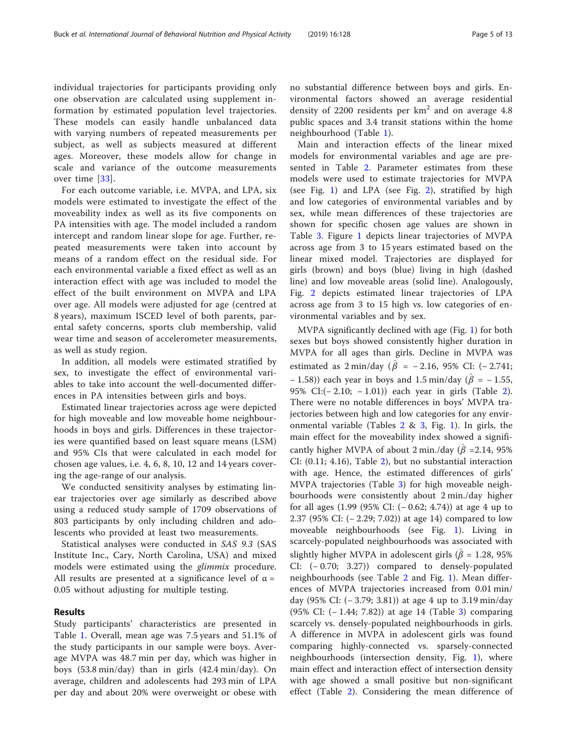individual trajectories for participants providing only one observation are calculated using supplement information by estimated population level trajectories. These models can easily handle unbalanced data with varying numbers of repeated measurements per subject, as well as subjects measured at different ages. Moreover, these models allow for change in scale and variance of the outcome measurements over time [\[33\]](#page-12-0).

For each outcome variable, i.e. MVPA, and LPA, six models were estimated to investigate the effect of the moveability index as well as its five components on PA intensities with age. The model included a random intercept and random linear slope for age. Further, repeated measurements were taken into account by means of a random effect on the residual side. For each environmental variable a fixed effect as well as an interaction effect with age was included to model the effect of the built environment on MVPA and LPA over age. All models were adjusted for age (centred at 8 years), maximum ISCED level of both parents, parental safety concerns, sports club membership, valid wear time and season of accelerometer measurements, as well as study region.

In addition, all models were estimated stratified by sex, to investigate the effect of environmental variables to take into account the well-documented differences in PA intensities between girls and boys.

Estimated linear trajectories across age were depicted for high moveable and low moveable home neighbourhoods in boys and girls. Differences in these trajectories were quantified based on least square means (LSM) and 95% CIs that were calculated in each model for chosen age values, i.e. 4, 6, 8, 10, 12 and 14 years covering the age-range of our analysis.

We conducted sensitivity analyses by estimating linear trajectories over age similarly as described above using a reduced study sample of 1709 observations of 803 participants by only including children and adolescents who provided at least two measurements.

Statistical analyses were conducted in SAS 9.3 (SAS Institute Inc., Cary, North Carolina, USA) and mixed models were estimated using the glimmix procedure. All results are presented at a significance level of  $\alpha =$ 0.05 without adjusting for multiple testing.

# Results

Study participants' characteristics are presented in Table [1](#page-5-0). Overall, mean age was 7.5 years and 51.1% of the study participants in our sample were boys. Average MVPA was 48.7 min per day, which was higher in boys (53.8 min/day) than in girls (42.4 min/day). On average, children and adolescents had 293 min of LPA per day and about 20% were overweight or obese with

no substantial difference between boys and girls. Environmental factors showed an average residential density of 2200 residents per  $km<sup>2</sup>$  and on average 4.8 public spaces and 3.4 transit stations within the home neighbourhood (Table [1\)](#page-5-0).

Main and interaction effects of the linear mixed models for environmental variables and age are presented in Table [2.](#page-6-0) Parameter estimates from these models were used to estimate trajectories for MVPA (see Fig. [1\)](#page-7-0) and LPA (see Fig. [2](#page-8-0)), stratified by high and low categories of environmental variables and by sex, while mean differences of these trajectories are shown for specific chosen age values are shown in Table [3.](#page-9-0) Figure [1](#page-7-0) depicts linear trajectories of MVPA across age from 3 to 15 years estimated based on the linear mixed model. Trajectories are displayed for girls (brown) and boys (blue) living in high (dashed line) and low moveable areas (solid line). Analogously, Fig. [2](#page-8-0) depicts estimated linear trajectories of LPA across age from 3 to 15 high vs. low categories of environmental variables and by sex.

MVPA significantly declined with age (Fig. [1\)](#page-7-0) for both sexes but boys showed consistently higher duration in MVPA for all ages than girls. Decline in MVPA was estimated as  $2 \text{ min/day}$  ( $\hat{\beta} = -2.16$ , 95% CI: (-2.741; – 1.58)) each year in boys and 1.5 min/day ( $\hat{\beta}$  = – 1.55, 95% CI:(− 2.10; − 1.01)) each year in girls (Table [2](#page-6-0)). There were no notable differences in boys' MVPA trajectories between high and low categories for any environmental variable (Tables  $2 \& 3$  $2 \& 3$ , Fig. [1\)](#page-7-0). In girls, the main effect for the moveability index showed a significantly higher MVPA of about 2 min./day ( $\hat{\beta}$  =2.14, 95% CI: (0.11; 4.16), Table [2\)](#page-6-0), but no substantial interaction with age. Hence, the estimated differences of girls' MVPA trajectories (Table [3](#page-9-0)) for high moveable neighbourhoods were consistently about 2 min./day higher for all ages (1.99 (95% CI: (− 0.62; 4.74)) at age 4 up to 2.37 (95% CI: (− 2.29; 7.02)) at age 14) compared to low moveable neighbourhoods (see Fig. [1\)](#page-7-0). Living in scarcely-populated neighbourhoods was associated with slightly higher MVPA in adolescent girls ( $\hat{\beta}$  = 1.28, 95% CI: (− 0.70; 3.27)) compared to densely-populated neighbourhoods (see Table [2](#page-6-0) and Fig. [1\)](#page-7-0). Mean differences of MVPA trajectories increased from 0.01 min/ day (95% CI: (− 3.79; 3.81)) at age 4 up to 3.19 min/day (95% CI: (− 1.44; 7.82)) at age 14 (Table [3\)](#page-9-0) comparing scarcely vs. densely-populated neighbourhoods in girls. A difference in MVPA in adolescent girls was found comparing highly-connected vs. sparsely-connected neighbourhoods (intersection density, Fig. [1\)](#page-7-0), where main effect and interaction effect of intersection density with age showed a small positive but non-significant effect (Table [2](#page-6-0)). Considering the mean difference of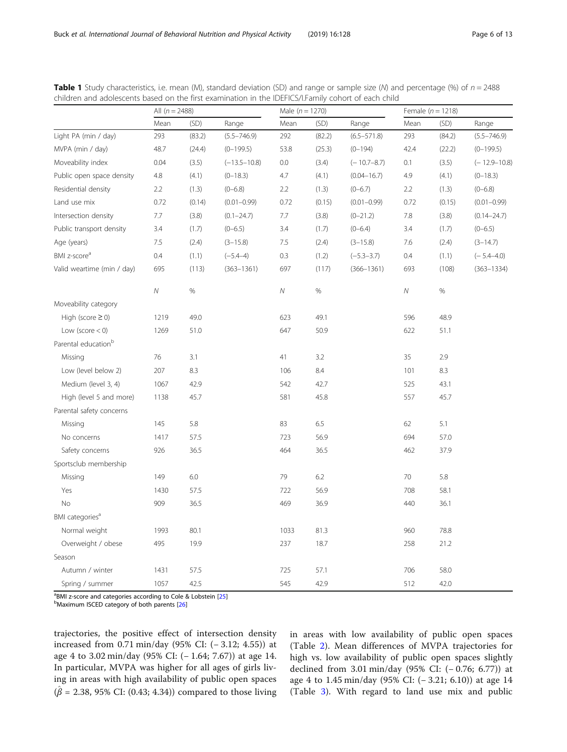|                                 | All $(n = 2488)$ |        |                  | Male $(n = 1270)$ |        |                 | Female $(n = 1218)$ |        |                  |
|---------------------------------|------------------|--------|------------------|-------------------|--------|-----------------|---------------------|--------|------------------|
|                                 | Mean             | (SD)   | Range            | Mean              | (SD)   | Range           | Mean                | (SD)   | Range            |
| Light PA (min / day)            | 293              | (83.2) | $(5.5 - 746.9)$  | 292               | (82.2) | $(6.5 - 571.8)$ | 293                 | (84.2) | $(5.5 - 746.9)$  |
| MVPA (min / day)                | 48.7             | (24.4) | $(0-199.5)$      | 53.8              | (25.3) | $(0-194)$       | 42.4                | (22.2) | $(0-199.5)$      |
| Moveability index               | 0.04             | (3.5)  | $(-13.5 - 10.8)$ | 0.0               | (3.4)  | $(-10.7 - 8.7)$ | 0.1                 | (3.5)  | $(-12.9 - 10.8)$ |
| Public open space density       | 4.8              | (4.1)  | $(0-18.3)$       | 4.7               | (4.1)  | $(0.04 - 16.7)$ | 4.9                 | (4.1)  | $(0-18.3)$       |
| Residential density             | 2.2              | (1.3)  | $(0 - 6.8)$      | 2.2               | (1.3)  | $(0 - 6.7)$     | 2.2                 | (1.3)  | $(0 - 6.8)$      |
| Land use mix                    | 0.72             | (0.14) | $(0.01 - 0.99)$  | 0.72              | (0.15) | $(0.01 - 0.99)$ | 0.72                | (0.15) | $(0.01 - 0.99)$  |
| Intersection density            | 7.7              | (3.8)  | $(0.1 - 24.7)$   | 7.7               | (3.8)  | $(0 - 21.2)$    | 7.8                 | (3.8)  | $(0.14 - 24.7)$  |
| Public transport density        | 3.4              | (1.7)  | $(0 - 6.5)$      | 3.4               | (1.7)  | $(0 - 6.4)$     | 3.4                 | (1.7)  | $(0 - 6.5)$      |
| Age (years)                     | 7.5              | (2.4)  | $(3 - 15.8)$     | 7.5               | (2.4)  | $(3-15.8)$      | 7.6                 | (2.4)  | $(3-14.7)$       |
| BMI z-score <sup>a</sup>        | 0.4              | (1.1)  | $(-5.4-4)$       | 0.3               | (1.2)  | $(-5.3 - 3.7)$  | 0.4                 | (1.1)  | $(-5.4 - 4.0)$   |
| Valid weartime (min / day)      | 695              | (113)  | $(363 - 1361)$   | 697               | (117)  | $(366 - 1361)$  | 693                 | (108)  | $(363 - 1334)$   |
|                                 | ${\cal N}$       | $\%$   |                  | Ν                 | $\%$   |                 | ${\cal N}$          | $\%$   |                  |
| Moveability category            |                  |        |                  |                   |        |                 |                     |        |                  |
| High (score $\geq$ 0)           | 1219             | 49.0   |                  | 623               | 49.1   |                 | 596                 | 48.9   |                  |
| Low (score $<$ 0)               | 1269             | 51.0   |                  | 647               | 50.9   |                 | 622                 | 51.1   |                  |
| Parental education <sup>b</sup> |                  |        |                  |                   |        |                 |                     |        |                  |
| Missing                         | 76               | 3.1    |                  | 41                | 3.2    |                 | 35                  | 2.9    |                  |
| Low (level below 2)             | 207              | 8.3    |                  | 106               | 8.4    |                 | 101                 | 8.3    |                  |
| Medium (level 3, 4)             | 1067             | 42.9   |                  | 542               | 42.7   |                 | 525                 | 43.1   |                  |
| High (level 5 and more)         | 1138             | 45.7   |                  | 581               | 45.8   |                 | 557                 | 45.7   |                  |
| Parental safety concerns        |                  |        |                  |                   |        |                 |                     |        |                  |
| Missing                         | 145              | 5.8    |                  | 83                | 6.5    |                 | 62                  | 5.1    |                  |
| No concerns                     | 1417             | 57.5   |                  | 723               | 56.9   |                 | 694                 | 57.0   |                  |
| Safety concerns                 | 926              | 36.5   |                  | 464               | 36.5   |                 | 462                 | 37.9   |                  |
| Sportsclub membership           |                  |        |                  |                   |        |                 |                     |        |                  |
| Missing                         | 149              | 6.0    |                  | 79                | 6.2    |                 | 70                  | 5.8    |                  |
| Yes                             | 1430             | 57.5   |                  | 722               | 56.9   |                 | 708                 | 58.1   |                  |
| No                              | 909              | 36.5   |                  | 469               | 36.9   |                 | 440                 | 36.1   |                  |
| BMI categories <sup>a</sup>     |                  |        |                  |                   |        |                 |                     |        |                  |
| Normal weight                   | 1993             | 80.1   |                  | 1033              | 81.3   |                 | 960                 | 78.8   |                  |
| Overweight / obese              | 495              | 19.9   |                  | 237               | 18.7   |                 | 258                 | 21.2   |                  |
| Season                          |                  |        |                  |                   |        |                 |                     |        |                  |
| Autumn / winter                 | 1431             | 57.5   |                  | 725               | 57.1   |                 | 706                 | 58.0   |                  |
| Spring / summer                 | 1057             | 42.5   |                  | 545               | 42.9   |                 | 512                 | 42.0   |                  |

<span id="page-5-0"></span>**Table 1** Study characteristics, i.e. mean (M), standard deviation (SD) and range or sample size (M) and percentage (%) of  $n = 2488$ children and adolescents based on the first examination in the IDEFICS/I.Family cohort of each child

<sup>a</sup>BMI z-score and categories according to Cole & Lobstein [\[25](#page-12-0)]<br><sup>b</sup>Maximum ISCED category of both parents [26]

<sup>b</sup>Maximum ISCED category of both parents [[26\]](#page-12-0)

trajectories, the positive effect of intersection density increased from 0.71 min/day (95% CI: (− 3.12; 4.55)) at age 4 to 3.02 min/day (95% CI: (− 1.64; 7.67)) at age 14. In particular, MVPA was higher for all ages of girls living in areas with high availability of public open spaces  $(\hat{\beta} = 2.38, 95\% \text{ CI: } (0.43; 4.34)) \text{ compared to those living}$ 

in areas with low availability of public open spaces (Table [2](#page-6-0)). Mean differences of MVPA trajectories for high vs. low availability of public open spaces slightly declined from 3.01 min/day (95% CI: (− 0.76; 6.77)) at age 4 to 1.45 min/day (95% CI: (− 3.21; 6.10)) at age 14 (Table [3](#page-9-0)). With regard to land use mix and public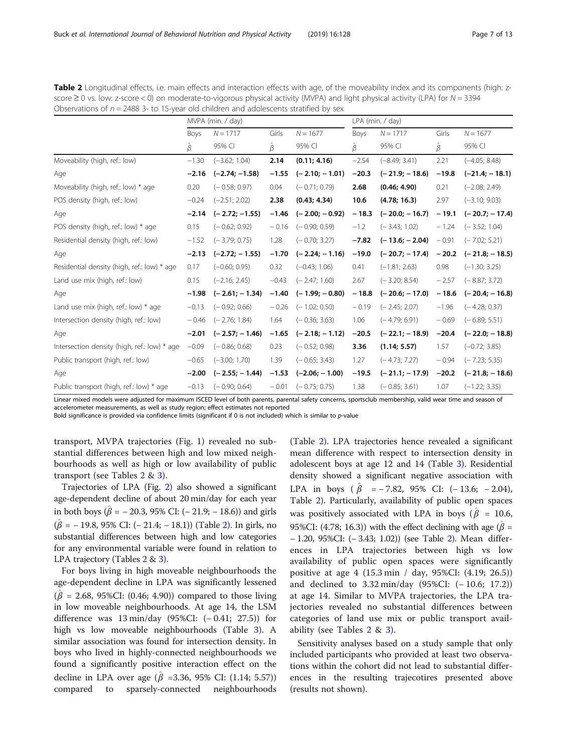| score $\geq$ 0 vs. low: z-score < 0) on moderate-to-vigorous physical activity (MVPA) and light physical activity (LPA) for $N = 3394$<br>Observations of $n = 2488$ 3- to 15-year old children and adolescents stratified by sex |                   |                          |         |                  |         |                          |         |                          |  |  |
|-----------------------------------------------------------------------------------------------------------------------------------------------------------------------------------------------------------------------------------|-------------------|--------------------------|---------|------------------|---------|--------------------------|---------|--------------------------|--|--|
|                                                                                                                                                                                                                                   | MVPA (min. / day) |                          |         |                  |         | LPA (min. / day)         |         |                          |  |  |
|                                                                                                                                                                                                                                   | <b>Boys</b>       | $N = 1717$               | Girls   | $N = 1677$       | Boys    | $N = 1717$               | Girls   | $N = 1677$               |  |  |
|                                                                                                                                                                                                                                   | $\beta$           | 95% CI                   | Ĝ       | 95% CI           | Ĝ.      | 95% CI                   | β       | 95% CI                   |  |  |
| Moveability (high, ref.: low)                                                                                                                                                                                                     | $-1.30$           | $(-3.62; 1.04)$          | 2.14    | (0.11; 4.16)     | $-2.54$ | $(-8.49; 3.41)$          | 2.21    | $(-4.05; 8.48)$          |  |  |
| Age                                                                                                                                                                                                                               |                   | $-2.16$ $(-2.74; -1.58)$ | $-1.55$ | $(-2.10; -1.01)$ | $-20.3$ | $(-21.9; -18.6)$         | $-19.8$ | $(-21.4; -18.1)$         |  |  |
| Moveability (high, ref.: low) * age                                                                                                                                                                                               | 0.20              | $(-0.58; 0.97)$          | 0.04    | $(-0.71; 0.79)$  | 2.68    | (0.46; 4.90)             | 0.21    | $(-2.08; 2.49)$          |  |  |
| POS density (high, ref.: low)                                                                                                                                                                                                     | $-0.24$           | $(-2.51; 2.02)$          | 2.38    | (0.43; 4.34)     | 10.6    | (4.78; 16.3)             | 2.97    | $(-3.10; 9.03)$          |  |  |
| Age                                                                                                                                                                                                                               |                   | $-2.14$ $(-2.72; -1.55)$ | $-1.46$ | $(-2.00; -0.92)$ | $-18.3$ | $(-20.0; -16.7)$         | $-19.1$ | $(-20.7; -17.4)$         |  |  |
| POS density (high, ref.: low) * age                                                                                                                                                                                               | 0.15              | $(-0.62; 0.92)$          | $-0.16$ | $(-0.90; 0.59)$  | $-1.2$  | $(-3.43; 1.02)$          | $-1.24$ | $(-3.52; 1.04)$          |  |  |
| Residential density (high, ref.: low)                                                                                                                                                                                             | $-1.52$           | $(-3.79; 0.75)$          | 1.28    | $(-0.70; 3.27)$  | $-7.82$ | $(-13.6; -2.04)$         | $-0.91$ | $(-7.02; 5.21)$          |  |  |
| Age                                                                                                                                                                                                                               | $-2.13$           | $(-2.72; -1.55)$         | $-1.70$ | $(-2.24; -1.16)$ | $-19.0$ | $(-20.7; -17.4)$         | $-20.2$ | $(-21.8; -18.5)$         |  |  |
| Residential density (high, ref.: low) * age                                                                                                                                                                                       | 0.17              | $(-0.60; 0.95)$          | 0.32    | $(-0.43; 1.06)$  | 0.41    | $(-1.81; 2.63)$          | 0.98    | $(-1.30; 3.25)$          |  |  |
| Land use mix (high, ref.: low)                                                                                                                                                                                                    | 0.15              | $(-2.16; 2.45)$          | $-0.43$ | $(-2.47; 1.60)$  | 2.67    | $(-3.20; 8.54)$          | $-2.57$ | $(-8.87; 3.72)$          |  |  |
| Age                                                                                                                                                                                                                               | $-1.98$           | $(-2.61; -1.34)$         | $-1.40$ | $(-1.99; -0.80)$ |         | $-18.8$ $(-20.6; -17.0)$ |         | $-18.6$ $(-20.4; -16.8)$ |  |  |

<span id="page-6-0"></span>Table 2 Longitudinal effects, i.e. main effects and interaction effects with age, of the moveability index and its components (high: zscore ≥ 0 vs. low: z-score < 0) on moderate-to-vigorous physical activity (MVPA) and light physical activity (LPA) for N = 3394

Public transport (high, ref.: low) \* age −0.13 (− 0.90; 0.64) − 0.01 (− 0.75; 0.75) 1.38 (− 0.85; 3.61) 1.07 (−1.22; 3.35) Linear mixed models were adjusted for maximum ISCED level of both parents, parental safety concerns, sportsclub membership, valid wear time and season of accelerometer measurements, as well as study region; effect estimates not reported

Land use mix (high, ref.: low) \* age  $-0.13$  (− 0.92; 0.66)  $-0.26$  (− 1.02; 0.50)  $-0.19$  (− 2.45; 2.07) −1.96 (− 4.28; 0.37) Intersection density (high, ref.: low) − 0.46 (− 2.76; 1.84) 1.64 (− 0.36; 3.63) 1.06 (− 4.79; 6.91) − 0.69 (− 6.89; 5.51) Age −2.01 (− 2.57; − 1.46) −1.65 (− 2.18; − 1.12) −20.5 (− 22.1; − 18.9) −20.4 (− 22.0; − 18.8) Intersection density (high, ref.: low) \* age −0.09 (− 0.86; 0.68) 0.23 (− 0.52; 0.98) 3.36 (1.14; 5.57) 1.57 (−0.72; 3.85) Public transport (high, ref.: low) −0.65 (−3.00; 1.70) 1.39 (− 0.65; 3.43) 1.27 (− 4.73; 7.27) − 0.94 (− 7.23; 5.35) Age −2.00 (− 2.55; − 1.44) −1.53 (−2.06; − 1.00) −19.5 (− 21.1; − 17.9) −20.2 (− 21.8; − 18.6)

Bold significance is provided via confidence limits (significant if 0 is not included) which is similar to p-value

transport, MVPA trajectories (Fig. [1\)](#page-7-0) revealed no substantial differences between high and low mixed neighbourhoods as well as high or low availability of public transport (see Tables 2 & [3\)](#page-9-0).

Trajectories of LPA (Fig. [2](#page-8-0)) also showed a significant age-dependent decline of about 20 min/day for each year in both boys ( $\hat{\beta}$  = – 20.3, 95% CI: (– 21.9; – 18.6)) and girls  $(\hat{\beta} = -19.8, 95\% \text{ CI: } (-21.4; -18.1)) \text{ (Table 2). In girls, no)}$ substantial differences between high and low categories for any environmental variable were found in relation to LPA trajectory (Tables 2 & [3\)](#page-9-0).

For boys living in high moveable neighbourhoods the age-dependent decline in LPA was significantly lessened  $(\hat{\beta} = 2.68, 95\%$ CI: (0.46; 4.90)) compared to those living in low moveable neighbourhoods. At age 14, the LSM difference was 13 min/day (95%CI: (− 0.41; 27.5)) for high vs low moveable neighbourhoods (Table [3\)](#page-9-0). A similar association was found for intersection density. In boys who lived in highly-connected neighbourhoods we found a significantly positive interaction effect on the decline in LPA over age ( $\hat{\beta}$  =3.36, 95% CI: (1.14; 5.57)) compared to sparsely-connected neighbourhoods

(Table 2). LPA trajectories hence revealed a significant mean difference with respect to intersection density in adolescent boys at age 12 and 14 (Table [3\)](#page-9-0). Residential density showed a significant negative association with LPA in boys ( $\hat{\beta}$  = − 7.82, 95% CI: (− 13.6; − 2.04), Table 2). Particularly, availability of public open spaces was positively associated with LPA in boys ( $\hat{\beta}$  = 10.6, 95%CI: (4.78; 16.3)) with the effect declining with age ( $\hat{\beta}$  = − 1.20, 95%CI: (− 3.43; 1.02)) (see Table 2). Mean differences in LPA trajectories between high vs low availability of public open spaces were significantly positive at age 4 (15.3 min / day, 95%CI: (4.19; 26.5)) and declined to 3.32 min/day (95%CI: (− 10.6; 17.2)) at age 14. Similar to MVPA trajectories, the LPA trajectories revealed no substantial differences between categories of land use mix or public transport availability (see Tables 2 & [3](#page-9-0)).

Sensitivity analyses based on a study sample that only included participants who provided at least two observations within the cohort did not lead to substantial differences in the resulting trajecotires presented above (results not shown).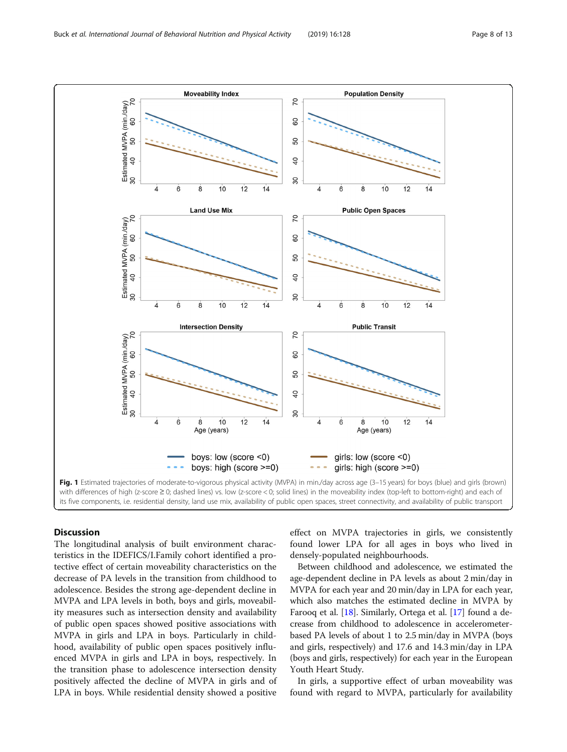<span id="page-7-0"></span>

# **Discussion**

The longitudinal analysis of built environment characteristics in the IDEFICS/I.Family cohort identified a protective effect of certain moveability characteristics on the decrease of PA levels in the transition from childhood to adolescence. Besides the strong age-dependent decline in MVPA and LPA levels in both, boys and girls, moveability measures such as intersection density and availability of public open spaces showed positive associations with MVPA in girls and LPA in boys. Particularly in childhood, availability of public open spaces positively influenced MVPA in girls and LPA in boys, respectively. In the transition phase to adolescence intersection density positively affected the decline of MVPA in girls and of LPA in boys. While residential density showed a positive effect on MVPA trajectories in girls, we consistently found lower LPA for all ages in boys who lived in densely-populated neighbourhoods.

Between childhood and adolescence, we estimated the age-dependent decline in PA levels as about 2 min/day in MVPA for each year and 20 min/day in LPA for each year, which also matches the estimated decline in MVPA by Farooq et al. [\[18](#page-12-0)]. Similarly, Ortega et al. [[17](#page-12-0)] found a decrease from childhood to adolescence in accelerometerbased PA levels of about 1 to 2.5 min/day in MVPA (boys and girls, respectively) and 17.6 and 14.3 min/day in LPA (boys and girls, respectively) for each year in the European Youth Heart Study.

In girls, a supportive effect of urban moveability was found with regard to MVPA, particularly for availability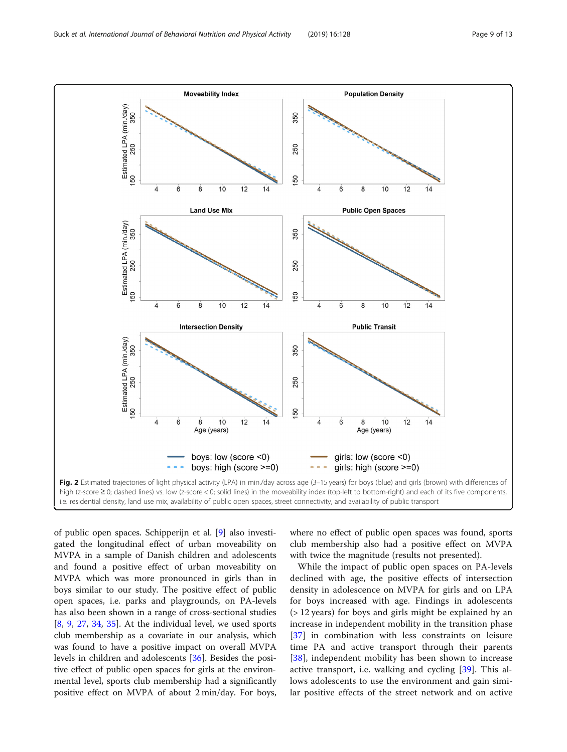<span id="page-8-0"></span>

of public open spaces. Schipperijn et al. [\[9](#page-12-0)] also investigated the longitudinal effect of urban moveability on MVPA in a sample of Danish children and adolescents and found a positive effect of urban moveability on MVPA which was more pronounced in girls than in boys similar to our study. The positive effect of public open spaces, i.e. parks and playgrounds, on PA-levels has also been shown in a range of cross-sectional studies [[8,](#page-12-0) [9](#page-12-0), [27,](#page-12-0) [34](#page-12-0), [35\]](#page-12-0). At the individual level, we used sports club membership as a covariate in our analysis, which was found to have a positive impact on overall MVPA levels in children and adolescents [\[36\]](#page-12-0). Besides the positive effect of public open spaces for girls at the environmental level, sports club membership had a significantly positive effect on MVPA of about 2 min/day. For boys,

where no effect of public open spaces was found, sports club membership also had a positive effect on MVPA with twice the magnitude (results not presented).

While the impact of public open spaces on PA-levels declined with age, the positive effects of intersection density in adolescence on MVPA for girls and on LPA for boys increased with age. Findings in adolescents (> 12 years) for boys and girls might be explained by an increase in independent mobility in the transition phase [[37\]](#page-12-0) in combination with less constraints on leisure time PA and active transport through their parents [[38\]](#page-12-0), independent mobility has been shown to increase active transport, i.e. walking and cycling [[39](#page-12-0)]. This allows adolescents to use the environment and gain similar positive effects of the street network and on active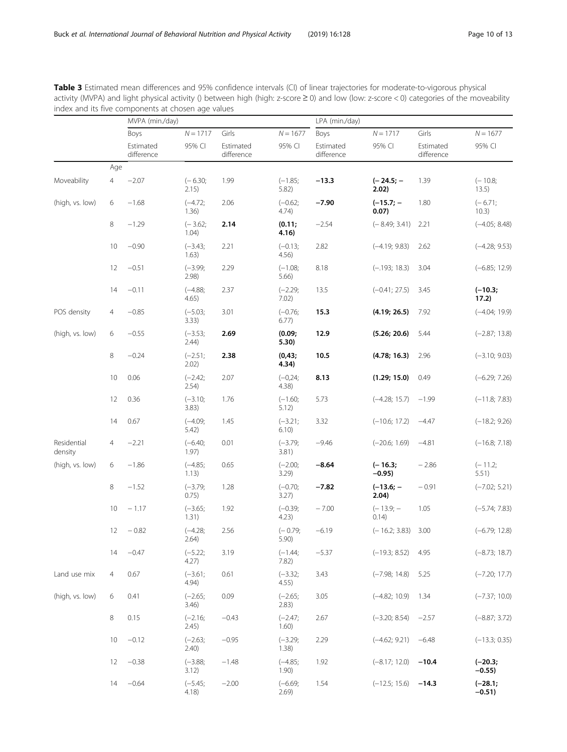<span id="page-9-0"></span>Table 3 Estimated mean differences and 95% confidence intervals (CI) of linear trajectories for moderate-to-vigorous physical activity (MVPA) and light physical activity () between high (high: z-score ≥ 0) and low (low: z-score < 0) categories of the moveability index and its five components at chosen age values

|                        |                | MVPA (min./day)         |                    |                         |                     | LPA (min./day)          |                       |                         |                       |  |
|------------------------|----------------|-------------------------|--------------------|-------------------------|---------------------|-------------------------|-----------------------|-------------------------|-----------------------|--|
|                        |                | Boys                    | $N = 1717$         | Girls                   | $N = 1677$          | Boys                    | $N = 1717$            | Girls                   | $N = 1677$            |  |
|                        |                | Estimated<br>difference | 95% CI             | Estimated<br>difference | 95% CI              | Estimated<br>difference | 95% CI                | Estimated<br>difference | 95% CI                |  |
|                        | Age            |                         |                    |                         |                     |                         |                       |                         |                       |  |
| Moveability            | $\overline{4}$ | $-2.07$                 | $(-6.30;$<br>2.15) | 1.99                    | $(-1.85;$<br>5.82)  | $-13.3$                 | $(-24.5; -$<br>2.02)  | 1.39                    | $(-10.8;$<br>13.5)    |  |
| (high, vs. low)        | 6              | $-1.68$                 | $(-4.72;$<br>1.36) | 2.06                    | $(-0.62;$<br>4.74)  | $-7.90$                 | $(-15.7; -$<br>0.07)  | 1.80                    | $(-6.71;$<br>10.3)    |  |
|                        | 8              | $-1.29$                 | $(-3.62;$<br>1.04) | 2.14                    | (0.11)<br>4.16)     | $-2.54$                 | $(-8.49; 3.41)$       | 2.21                    | $(-4.05; 8.48)$       |  |
|                        | 10             | $-0.90$                 | $(-3.43;$<br>1.63) | 2.21                    | $(-0.13;$<br>4.56)  | 2.82                    | $(-4.19; 9.83)$       | 2.62                    | $(-4.28; 9.53)$       |  |
|                        | 12             | $-0.51$                 | $(-3.99;$<br>2.98) | 2.29                    | $(-1.08;$<br>5.66   | 8.18                    | $(-.193; 18.3)$       | 3.04                    | $(-6.85; 12.9)$       |  |
|                        | 14             | $-0.11$                 | $(-4.88;$<br>4.65) | 2.37                    | $(-2.29;$<br>7.02)  | 13.5                    | $(-0.41; 27.5)$       | 3.45                    | $(-10.3;$<br>17.2)    |  |
| POS density            | 4              | $-0.85$                 | $(-5.03;$<br>3.33) | 3.01                    | $(-0.76;$<br>6.77)  | 15.3                    | (4.19; 26.5)          | 7.92                    | $(-4.04; 19.9)$       |  |
| (high, vs. low)        | 6              | $-0.55$                 | $(-3.53;$<br>2.44) | 2.69                    | (0.09;<br>5.30)     | 12.9                    | (5.26; 20.6)          | 5.44                    | $(-2.87; 13.8)$       |  |
|                        | 8              | $-0.24$                 | $(-2.51;$<br>2.02) | 2.38                    | (0, 43;<br>4.34)    | 10.5                    | (4.78; 16.3)          | 2.96                    | $(-3.10; 9.03)$       |  |
|                        | 10             | 0.06                    | $(-2.42;$<br>2.54) | 2.07                    | $(-0, 24;$<br>4.38) | 8.13                    | (1.29; 15.0)          | 0.49                    | $(-6.29; 7.26)$       |  |
|                        | 12             | 0.36                    | $(-3.10;$<br>3.83) | 1.76                    | $(-1.60;$<br>5.12)  | 5.73                    | $(-4.28; 15.7)$       | $-1.99$                 | $(-11.8; 7.83)$       |  |
|                        | 14             | 0.67                    | $(-4.09;$<br>5.42) | 1.45                    | $(-3.21;$<br>6.10)  | 3.32                    | $(-10.6; 17.2)$       | $-4.47$                 | $(-18.2; 9.26)$       |  |
| Residential<br>density | $\overline{4}$ | $-2.21$                 | $(-6.40;$<br>1.97) | 0.01                    | $(-3.79;$<br>3.81)  | $-9.46$                 | $(-20.6; 1.69)$       | $-4.81$                 | $(-16.8; 7.18)$       |  |
| (high, vs. low)        | 6              | $-1.86$                 | $(-4.85;$<br>1.13) | 0.65                    | $(-2.00;$<br>3.29   | $-8.64$                 | $(-16.3;$<br>$-0.95)$ | $-2.86$                 | $(-11.2;$<br>5.51)    |  |
|                        | 8              | $-1.52$                 | $(-3.79;$<br>0.75) | 1.28                    | $(-0.70;$<br>3.27)  | $-7.82$                 | $(-13.6; -$<br>2.04)  | $-0.91$                 | $(-7.02; 5.21)$       |  |
|                        | 10             | $-1.17$                 | $(-3.65;$<br>1.31) | 1.92                    | $(-0.39;$<br>4.23)  | $-7.00$                 | $(-13.9; -$<br>0.14)  | 1.05                    | $(-5.74; 7.83)$       |  |
|                        | 12             | $-0.82$                 | $(-4.28;$<br>2.64) | 2.56                    | $(-0.79;$<br>5.90)  | $-6.19$                 | $(-16.2; 3.83)$       | 3.00                    | $(-6.79; 12.8)$       |  |
|                        | 14             | $-0.47$                 | $(-5.22;$<br>4.27) | 3.19                    | $(-1.44;$<br>7.82)  | $-5.37$                 | $(-19.3; 8.52)$       | 4.95                    | $(-8.73; 18.7)$       |  |
| Land use mix           | 4              | 0.67                    | $(-3.61;$<br>4.94) | 0.61                    | $(-3.32;$<br>4.55)  | 3.43                    | $(-7.98; 14.8)$       | 5.25                    | $(-7.20; 17.7)$       |  |
| (high, vs. low)        | 6              | 0.41                    | $(-2.65;$<br>3.46) | 0.09                    | $(-2.65;$<br>2.83)  | 3.05                    | $(-4.82; 10.9)$       | 1.34                    | $(-7.37; 10.0)$       |  |
|                        | 8              | 0.15                    | $(-2.16;$<br>2.45) | $-0.43$                 | $(-2.47;$<br>1.60)  | 2.67                    | $(-3.20; 8.54)$       | $-2.57$                 | $(-8.87; 3.72)$       |  |
|                        | 10             | $-0.12$                 | $(-2.63;$<br>2.40) | $-0.95$                 | $(-3.29;$<br>1.38)  | 2.29                    | $(-4.62; 9.21)$       | $-6.48$                 | $(-13.3; 0.35)$       |  |
|                        | 12             | $-0.38$                 | $(-3.88;$<br>3.12) | $-1.48$                 | $(-4.85;$<br>1.90)  | 1.92                    | $(-8.17; 12.0)$       | $-10.4$                 | $(-20.3;$<br>$-0.55)$ |  |
|                        | 14             | $-0.64$                 | $(-5.45;$<br>4.18) | $-2.00$                 | $(-6.69;$<br>2.69)  | 1.54                    | $(-12.5; 15.6)$       | $-14.3$                 | $(-28.1;$<br>$-0.51)$ |  |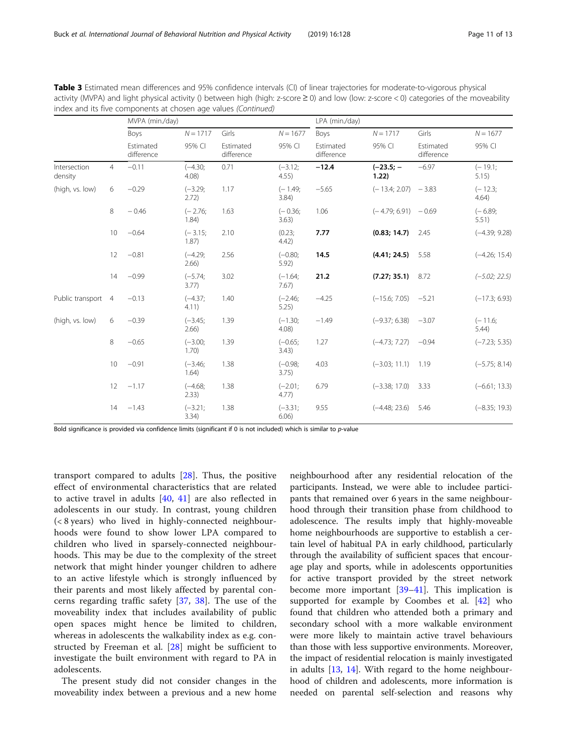| Table 3 Estimated mean differences and 95% confidence intervals (CI) of linear trajectories for moderate-to-vigorous physical                 |
|-----------------------------------------------------------------------------------------------------------------------------------------------|
| activity (MVPA) and light physical activity () between high (high: z-score $\geq$ 0) and low (low: z-score < 0) categories of the moveability |
| index and its five components at chosen age values (Continued)                                                                                |

|                         |                | MVPA (min./day)                 |                    |                                  |                      | LPA (min./day)          |                       |                                  |                      |  |
|-------------------------|----------------|---------------------------------|--------------------|----------------------------------|----------------------|-------------------------|-----------------------|----------------------------------|----------------------|--|
|                         |                | Boys<br>Estimated<br>difference | $N = 1717$         | Girls<br>Estimated<br>difference | $N = 1677$<br>95% CI | Boys                    | $N = 1717$            | Girls<br>Estimated<br>difference | $N = 1677$<br>95% CI |  |
|                         |                |                                 | 95% CI             |                                  |                      | Estimated<br>difference | 95% CI                |                                  |                      |  |
| Intersection<br>density | $\overline{4}$ | $-0.11$                         | $(-4.30;$<br>4.08) | 0.71                             | $(-3.12;$<br>4.55)   | $-12.4$                 | $(-23.5; -$<br>1.22)  | $-6.97$                          | $(-19.1;$<br>5.15)   |  |
| (high, vs. low)         | 6              | $-0.29$                         | $(-3.29;$<br>2.72) | 1.17                             | $(-1.49;$<br>3.84)   | $-5.65$                 | $(-13.4; 2.07) -3.83$ |                                  | $(-12.3;$<br>4.64)   |  |
|                         | 8              | $-0.46$                         | $(-2.76;$<br>1.84) | 1.63                             | $(-0.36;$<br>3.63)   | 1.06                    | $(-4.79; 6.91) -0.69$ |                                  | $(-6.89;$<br>5.51)   |  |
|                         | 10             | $-0.64$                         | $(-3.15;$<br>1.87) | 2.10                             | (0.23)<br>4.42)      | 7.77                    | (0.83; 14.7)          | 2.45                             | $(-4.39; 9.28)$      |  |
|                         | 12             | $-0.81$                         | $(-4.29;$<br>2.66) | 2.56                             | $(-0.80;$<br>5.92)   | 14.5                    | (4.41; 24.5)          | 5.58                             | $(-4.26; 15.4)$      |  |
|                         | 14             | $-0.99$                         | $(-5.74;$<br>3.77) | 3.02                             | $(-1.64;$<br>7.67)   | 21.2                    | (7.27; 35.1)          | 8.72                             | $(-5.02; 22.5)$      |  |
| Public transport        | $\overline{4}$ | $-0.13$                         | $(-4.37)$<br>4.11) | 1.40                             | $(-2.46;$<br>5.25)   | $-4.25$                 | $(-15.6; 7.05)$       | $-5.21$                          | $(-17.3; 6.93)$      |  |
| (high, vs. low)         | 6              | $-0.39$                         | $(-3.45;$<br>2.66) | 1.39                             | $(-1.30;$<br>4.08)   | $-1.49$                 | $(-9.37; 6.38)$       | $-3.07$                          | $(-11.6;$<br>5.44)   |  |
|                         | 8              | $-0.65$                         | $(-3.00;$<br>1.70) | 1.39                             | $(-0.65;$<br>3.43)   | 1.27                    | $(-4.73; 7.27)$       | $-0.94$                          | $(-7.23; 5.35)$      |  |
|                         | 10             | $-0.91$                         | $(-3.46;$<br>1.64) | 1.38                             | $(-0.98;$<br>3.75)   | 4.03                    | $(-3.03; 11.1)$       | 1.19                             | $(-5.75; 8.14)$      |  |
|                         | 12             | $-1.17$                         | $(-4.68;$<br>2.33) | 1.38                             | $(-2.01;$<br>4.77)   | 6.79                    | $(-3.38; 17.0)$       | 3.33                             | $(-6.61; 13.3)$      |  |
|                         | 14             | $-1.43$                         | $(-3.21;$<br>3.34) | 1.38                             | $(-3.31)$<br>6.06)   | 9.55                    | $(-4.48; 23.6)$       | 5.46                             | $(-8.35; 19.3)$      |  |

Bold significance is provided via confidence limits (significant if 0 is not included) which is similar to p-value

transport compared to adults [\[28](#page-12-0)]. Thus, the positive effect of environmental characteristics that are related to active travel in adults [\[40](#page-12-0), [41](#page-12-0)] are also reflected in adolescents in our study. In contrast, young children (< 8 years) who lived in highly-connected neighbourhoods were found to show lower LPA compared to children who lived in sparsely-connected neighbourhoods. This may be due to the complexity of the street network that might hinder younger children to adhere to an active lifestyle which is strongly influenced by their parents and most likely affected by parental concerns regarding traffic safety [\[37](#page-12-0), [38](#page-12-0)]. The use of the moveability index that includes availability of public open spaces might hence be limited to children, whereas in adolescents the walkability index as e.g. constructed by Freeman et al. [[28\]](#page-12-0) might be sufficient to investigate the built environment with regard to PA in adolescents.

The present study did not consider changes in the moveability index between a previous and a new home

neighbourhood after any residential relocation of the participants. Instead, we were able to includee participants that remained over 6 years in the same neighbourhood through their transition phase from childhood to adolescence. The results imply that highly-moveable home neighbourhoods are supportive to establish a certain level of habitual PA in early childhood, particularly through the availability of sufficient spaces that encourage play and sports, while in adolescents opportunities for active transport provided by the street network become more important  $[39-41]$  $[39-41]$  $[39-41]$ . This implication is supported for example by Coombes et al. [\[42\]](#page-12-0) who found that children who attended both a primary and secondary school with a more walkable environment were more likely to maintain active travel behaviours than those with less supportive environments. Moreover, the impact of residential relocation is mainly investigated in adults [\[13,](#page-12-0) [14\]](#page-12-0). With regard to the home neighbourhood of children and adolescents, more information is needed on parental self-selection and reasons why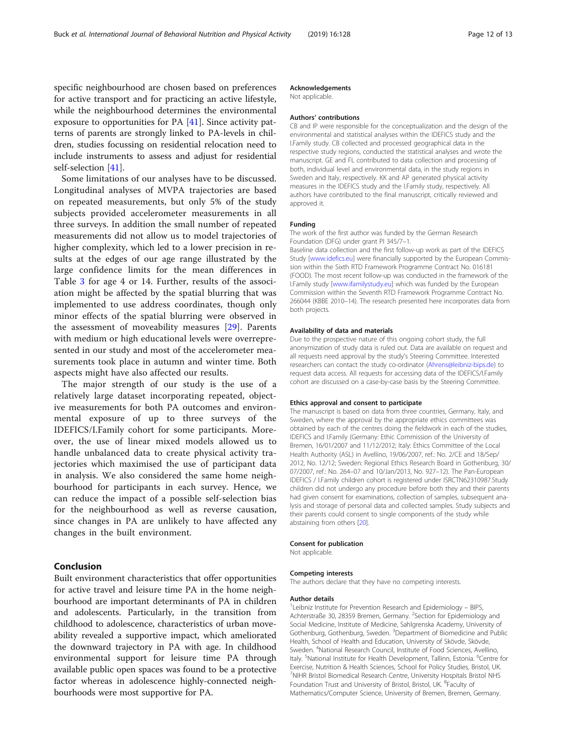specific neighbourhood are chosen based on preferences for active transport and for practicing an active lifestyle, while the neighbourhood determines the environmental exposure to opportunities for PA [[41\]](#page-12-0). Since activity patterns of parents are strongly linked to PA-levels in children, studies focussing on residential relocation need to include instruments to assess and adjust for residential self-selection [[41\]](#page-12-0).

Some limitations of our analyses have to be discussed. Longitudinal analyses of MVPA trajectories are based on repeated measurements, but only 5% of the study subjects provided accelerometer measurements in all three surveys. In addition the small number of repeated measurements did not allow us to model trajectories of higher complexity, which led to a lower precision in results at the edges of our age range illustrated by the large confidence limits for the mean differences in Table [3](#page-9-0) for age 4 or 14. Further, results of the association might be affected by the spatial blurring that was implemented to use address coordinates, though only minor effects of the spatial blurring were observed in the assessment of moveability measures [\[29](#page-12-0)]. Parents with medium or high educational levels were overrepresented in our study and most of the accelerometer measurements took place in autumn and winter time. Both aspects might have also affected our results.

The major strength of our study is the use of a relatively large dataset incorporating repeated, objective measurements for both PA outcomes and environmental exposure of up to three surveys of the IDEFICS/I.Family cohort for some participants. Moreover, the use of linear mixed models allowed us to handle unbalanced data to create physical activity trajectories which maximised the use of participant data in analysis. We also considered the same home neighbourhood for participants in each survey. Hence, we can reduce the impact of a possible self-selection bias for the neighbourhood as well as reverse causation, since changes in PA are unlikely to have affected any changes in the built environment.

# Conclusion

Built environment characteristics that offer opportunities for active travel and leisure time PA in the home neighbourhood are important determinants of PA in children and adolescents. Particularly, in the transition from childhood to adolescence, characteristics of urban moveability revealed a supportive impact, which ameliorated the downward trajectory in PA with age. In childhood environmental support for leisure time PA through available public open spaces was found to be a protective factor whereas in adolescence highly-connected neighbourhoods were most supportive for PA.

## Acknowledgements

Not applicable.

#### Authors' contributions

CB and IP were responsible for the conceptualization and the design of the environmental and statistical analyses within the IDEFICS study and the I.Family study. CB collected and processed geographical data in the respective study regions, conducted the statistical analyses and wrote the manuscript. GE and FL contributed to data collection and processing of both, individual level and environmental data, in the study regions in Sweden and Italy, respectively. KK and AP generated physical activity measures in the IDEFICS study and the I.Family study, respectively. All authors have contributed to the final manuscript, critically reviewed and approved it.

#### Funding

The work of the first author was funded by the German Research Foundation (DFG) under grant PI 345/7–1.

Baseline data collection and the first follow-up work as part of the IDEFICS Study [[www.idefics.eu\]](http://www.idefics.eu) were financially supported by the European Commission within the Sixth RTD Framework Programme Contract No. 016181 (FOOD). The most recent follow-up was conducted in the framework of the I.Family study [[www.ifamilystudy.eu](http://www.ifamilystudy.eu)] which was funded by the European Commission within the Seventh RTD Framework Programme Contract No. 266044 (KBBE 2010–14). The research presented here incorporates data from both projects.

#### Availability of data and materials

Due to the prospective nature of this ongoing cohort study, the full anonymization of study data is ruled out. Data are available on request and all requests need approval by the study's Steering Committee. Interested researchers can contact the study co-ordinator ([Ahrens@leibniz-bips.de\)](mailto:Ahrens@leibniz-bips.de) to request data access. All requests for accessing data of the IDEFICS/I.Family cohort are discussed on a case-by-case basis by the Steering Committee.

#### Ethics approval and consent to participate

The manuscript is based on data from three countries, Germany, Italy, and Sweden, where the approval by the appropriate ethics committees was obtained by each of the centres doing the fieldwork in each of the studies, IDEFICS and I.Family (Germany: Ethic Commission of the University of Bremen, 16/01/2007 and 11/12/2012; Italy: Ethics Committee of the Local Health Authority (ASL) in Avellino, 19/06/2007, ref.: No. 2/CE and 18/Sep/ 2012, No. 12/12; Sweden: Regional Ethics Research Board in Gothenburg, 30/ 07/2007, ref.: No. 264–07 and 10/Jan/2013, No. 927–12). The Pan-European IDEFICS / I.Family children cohort is registered under ISRCTN62310987.Study children did not undergo any procedure before both they and their parents had given consent for examinations, collection of samples, subsequent analysis and storage of personal data and collected samples. Study subjects and their parents could consent to single components of the study while abstaining from others [\[20\]](#page-12-0).

#### Consent for publication

Not applicable.

#### Competing interests

The authors declare that they have no competing interests.

#### Author details

<sup>1</sup>Leibniz Institute for Prevention Research and Epidemiology - BIPS, Achterstraße 30, 28359 Bremen, Germany. <sup>2</sup>Section for Epidemiology and Social Medicine, Institute of Medicine, Sahlgrenska Academy, University of Gothenburg, Gothenburg, Sweden. <sup>3</sup>Department of Biomedicine and Public Health, School of Health and Education, University of Skövde, Skövde, Sweden. <sup>4</sup>National Research Council, Institute of Food Sciences, Avellino, Italy. <sup>5</sup>National Institute for Health Development, Tallinn, Estonia. <sup>6</sup>Centre for Exercise, Nutrition & Health Sciences, School for Policy Studies, Bristol, UK. 7 NIHR Bristol Biomedical Research Centre, University Hospitals Bristol NHS Foundation Trust and University of Bristol, Bristol, UK. <sup>8</sup>Faculty of Mathematics/Computer Science, University of Bremen, Bremen, Germany.